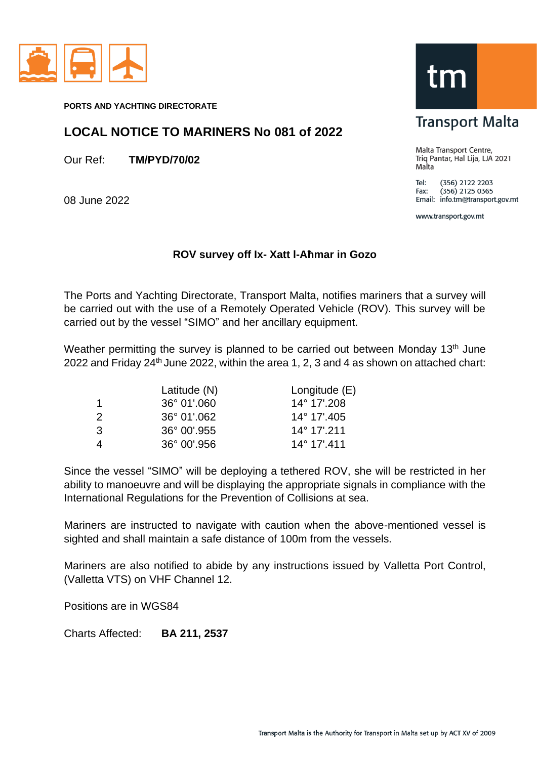

**PORTS AND YACHTING DIRECTORATE**

## **LOCAL NOTICE TO MARINERS No 081 of 2022**

Our Ref: **TM/PYD/70/02**

08 June 2022

## **ROV survey off Ix- Xatt l-Aħmar in Gozo**

The Ports and Yachting Directorate, Transport Malta, notifies mariners that a survey will be carried out with the use of a Remotely Operated Vehicle (ROV). This survey will be carried out by the vessel "SIMO" and her ancillary equipment.

Weather permitting the survey is planned to be carried out between Monday 13<sup>th</sup> June 2022 and Friday 24th June 2022, within the area 1, 2, 3 and 4 as shown on attached chart:

|               | Latitude (N)         | Longitude (E)        |
|---------------|----------------------|----------------------|
| 1             | $36^{\circ}$ 01'.060 | 14° 17'.208          |
| $\mathcal{P}$ | 36° 01',062          | 14° 17'.405          |
| $\mathcal{B}$ | $36^{\circ}$ 00'.955 | 14° 17'.211          |
|               | $36^{\circ}$ 00'.956 | $14^{\circ}$ 17'.411 |

Since the vessel "SIMO" will be deploying a tethered ROV, she will be restricted in her ability to manoeuvre and will be displaying the appropriate signals in compliance with the International Regulations for the Prevention of Collisions at sea.

Mariners are instructed to navigate with caution when the above-mentioned vessel is sighted and shall maintain a safe distance of 100m from the vessels.

Mariners are also notified to abide by any instructions issued by Valletta Port Control, (Valletta VTS) on VHF Channel 12.

Positions are in WGS84

Charts Affected: **BA 211, 2537**

tm

## **Transport Malta**

Malta Transport Centre, Triq Pantar, Hal Lija, LJA 2021 Malta

 $Tel:$ (356) 2122 2203  $(356)$  2125 0365 Fax: Email: info.tm@transport.gov.mt

www.transport.gov.mt